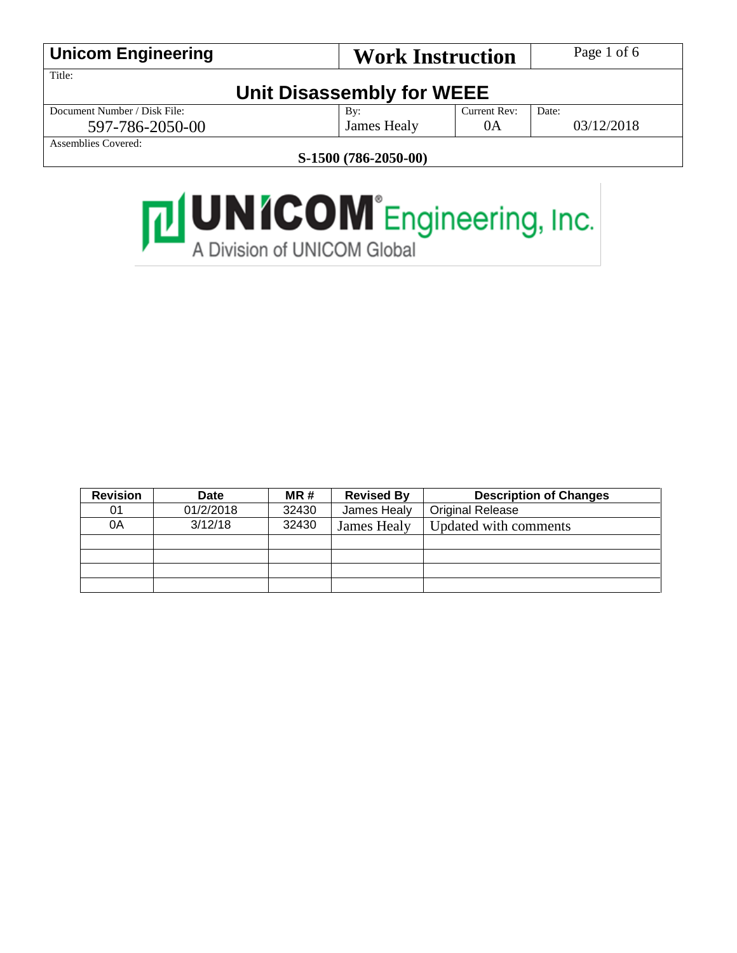|                           |                           | Page 1 of 6             |  |
|---------------------------|---------------------------|-------------------------|--|
|                           |                           |                         |  |
| Unit Disassembly for WEEE |                           |                         |  |
| By:                       | Current Rev:              | Date:                   |  |
| James Healy               | 0A                        | 03/12/2018              |  |
|                           |                           |                         |  |
|                           | $C = 1.500$ (FOX ANEA AA) | <b>Work Instruction</b> |  |

**S-1500 (786-2050-00)**



| <b>Revision</b> | <b>Date</b> | MR#   | <b>Revised By</b> | <b>Description of Changes</b> |
|-----------------|-------------|-------|-------------------|-------------------------------|
| 01              | 01/2/2018   | 32430 | James Healy       | <b>Original Release</b>       |
| 0A              | 3/12/18     | 32430 | James Healy       | Updated with comments         |
|                 |             |       |                   |                               |
|                 |             |       |                   |                               |
|                 |             |       |                   |                               |
|                 |             |       |                   |                               |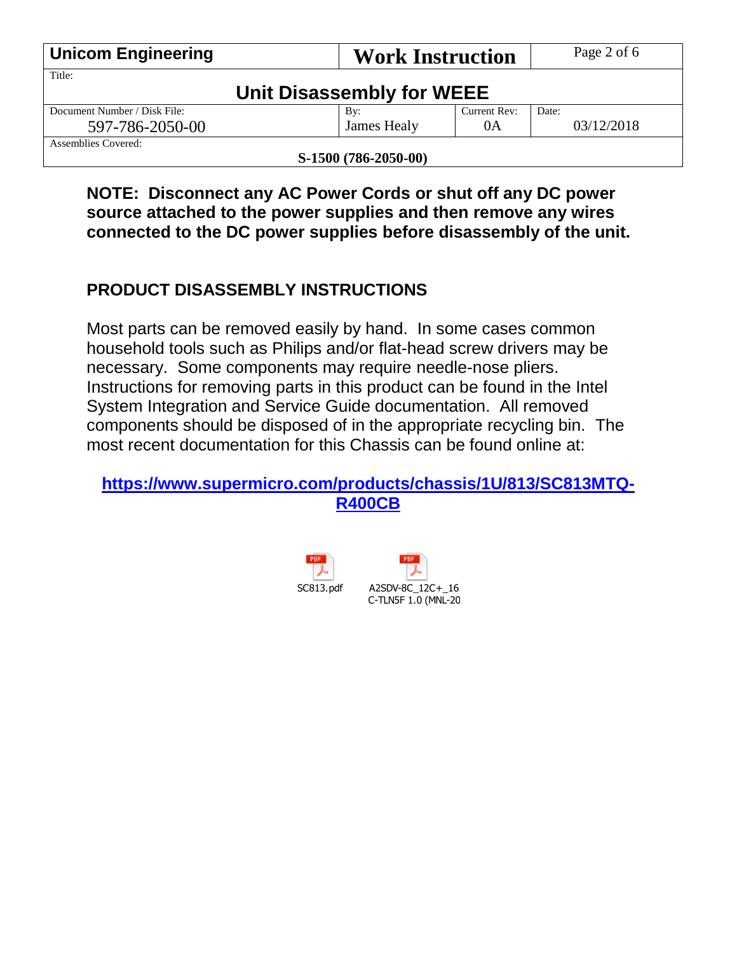| <b>Unicom Engineering</b>    | <b>Work Instruction</b>   |              | Page 2 of 6 |
|------------------------------|---------------------------|--------------|-------------|
| Title:                       |                           |              |             |
|                              | Unit Disassembly for WEEE |              |             |
| Document Number / Disk File: | By:                       | Current Rev: | Date:       |
| 597-786-2050-00              | James Healy               | 0A           | 03/12/2018  |
| Assemblies Covered:          |                           |              |             |
| S-1500 (786-2050-00)         |                           |              |             |

**NOTE: Disconnect any AC Power Cords or shut off any DC power source attached to the power supplies and then remove any wires connected to the DC power supplies before disassembly of the unit.**

#### **PRODUCT DISASSEMBLY INSTRUCTIONS**

Most parts can be removed easily by hand. In some cases common household tools such as Philips and/or flat-head screw drivers may be necessary. Some components may require needle-nose pliers. Instructions for removing parts in this product can be found in the Intel System Integration and Service Guide documentation. All removed components should be disposed of in the appropriate recycling bin. The most recent documentation for this Chassis can be found online at:

**[https://www.supermicro.com/products/chassis/1U/813/SC813MTQ-](https://www.supermicro.com/products/chassis/1U/813/SC813MTQ-R400CB)[R400CB](https://www.supermicro.com/products/chassis/1U/813/SC813MTQ-R400CB)**



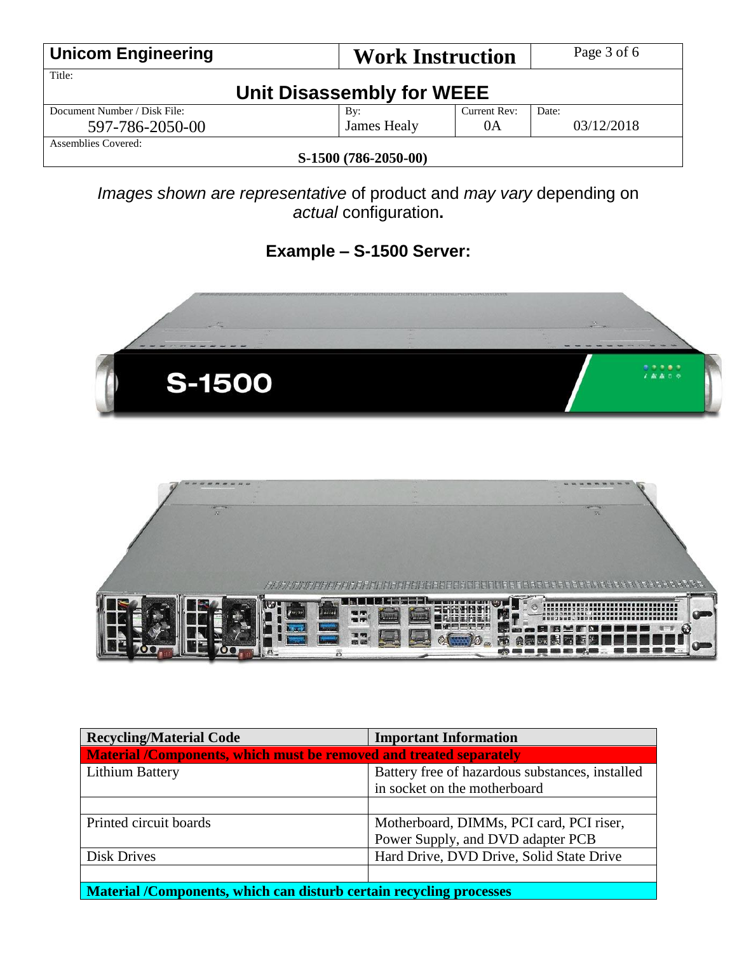| <b>Unicom Engineering</b>    | <b>Work Instruction</b>   |              | Page 3 of 6 |
|------------------------------|---------------------------|--------------|-------------|
| Title:                       |                           |              |             |
|                              | Unit Disassembly for WEEE |              |             |
| Document Number / Disk File: | By:                       | Current Rev: | Date:       |
| 597-786-2050-00              | James Healy               | 0A           | 03/12/2018  |
| Assemblies Covered:          |                           |              |             |
| S-1500 (786-2050-00)         |                           |              |             |

*Images shown are representative* of product and *may vary* depending on *actual* configuration**.**

### **Example – S-1500 Server:**





| <b>Recycling/Material Code</b>                                                                                                                                                                                                                                                                                                                                                                                                                                                                                                 | <b>Important Information</b>                    |  |  |
|--------------------------------------------------------------------------------------------------------------------------------------------------------------------------------------------------------------------------------------------------------------------------------------------------------------------------------------------------------------------------------------------------------------------------------------------------------------------------------------------------------------------------------|-------------------------------------------------|--|--|
| Material /Components, which must be removed and treated separately                                                                                                                                                                                                                                                                                                                                                                                                                                                             |                                                 |  |  |
| <b>Lithium Battery</b>                                                                                                                                                                                                                                                                                                                                                                                                                                                                                                         | Battery free of hazardous substances, installed |  |  |
|                                                                                                                                                                                                                                                                                                                                                                                                                                                                                                                                | in socket on the motherboard                    |  |  |
|                                                                                                                                                                                                                                                                                                                                                                                                                                                                                                                                |                                                 |  |  |
| Printed circuit boards                                                                                                                                                                                                                                                                                                                                                                                                                                                                                                         | Motherboard, DIMMs, PCI card, PCI riser,        |  |  |
|                                                                                                                                                                                                                                                                                                                                                                                                                                                                                                                                | Power Supply, and DVD adapter PCB               |  |  |
| <b>Disk Drives</b>                                                                                                                                                                                                                                                                                                                                                                                                                                                                                                             | Hard Drive, DVD Drive, Solid State Drive        |  |  |
|                                                                                                                                                                                                                                                                                                                                                                                                                                                                                                                                |                                                 |  |  |
| $\mathbf{X}$ $\mathbf{I}$ $\mathbf{I}$ $\mathbf{I}$ $\mathbf{I}$ $\mathbf{I}$ $\mathbf{I}$ $\mathbf{I}$ $\mathbf{I}$ $\mathbf{I}$ $\mathbf{I}$ $\mathbf{I}$ $\mathbf{I}$ $\mathbf{I}$ $\mathbf{I}$ $\mathbf{I}$ $\mathbf{I}$ $\mathbf{I}$ $\mathbf{I}$ $\mathbf{I}$ $\mathbf{I}$ $\mathbf{I}$ $\mathbf{I}$ $\mathbf{I}$ $\mathbf{$<br>the contract of the contract of the contract of the contract of the contract of the contract of the contract of<br>$\mathbf{r}$ , and $\mathbf{r}$ , and $\mathbf{r}$ , and $\mathbf{r}$ | . .                                             |  |  |

**Material /Components, which can disturb certain recycling processes**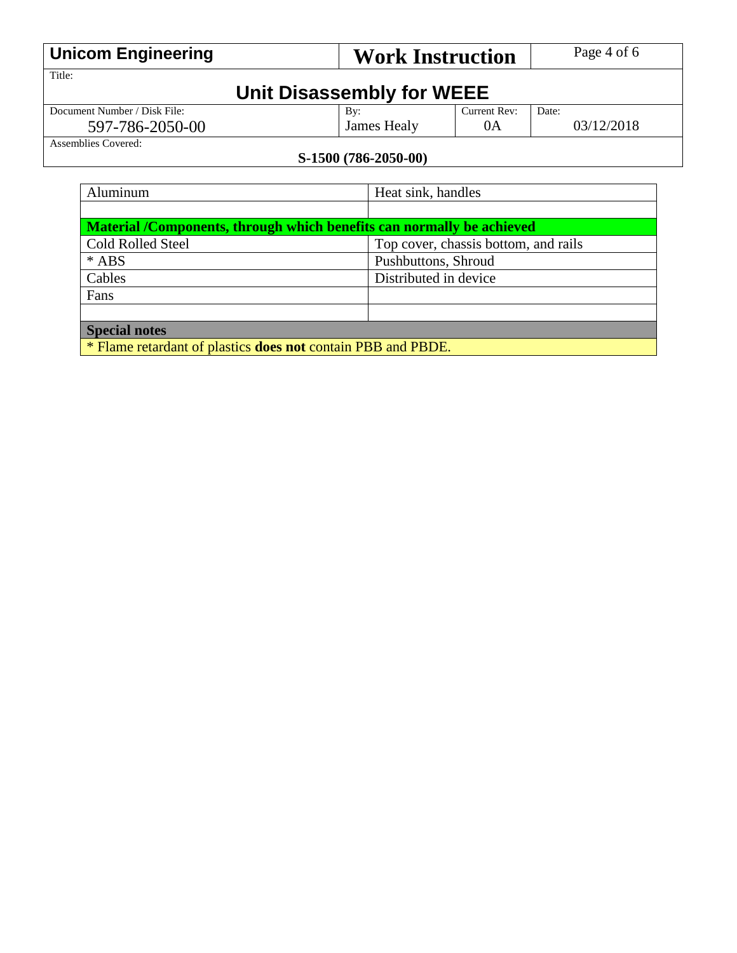| <b>Unicom Engineering</b>    | <b>Work Instruction</b>   |              | Page 4 of 6 |
|------------------------------|---------------------------|--------------|-------------|
| Title:                       |                           |              |             |
|                              | Unit Disassembly for WEEE |              |             |
| Document Number / Disk File: | By:                       | Current Rev: | Date:       |
| 597-786-2050-00              | James Healy               | 0A           | 03/12/2018  |
| Assemblies Covered:          |                           |              |             |
| S-1500 (786-2050-00)         |                           |              |             |

# Aluminum Heat sink, handles **Material /Components, through which benefits can normally be achieved** Cold Rolled Steel Top cover, chassis bottom, and rails \* ABS Pushbuttons, Shroud Cables Distributed in device Fans

**Special notes**

\* Flame retardant of plastics **does not** contain PBB and PBDE.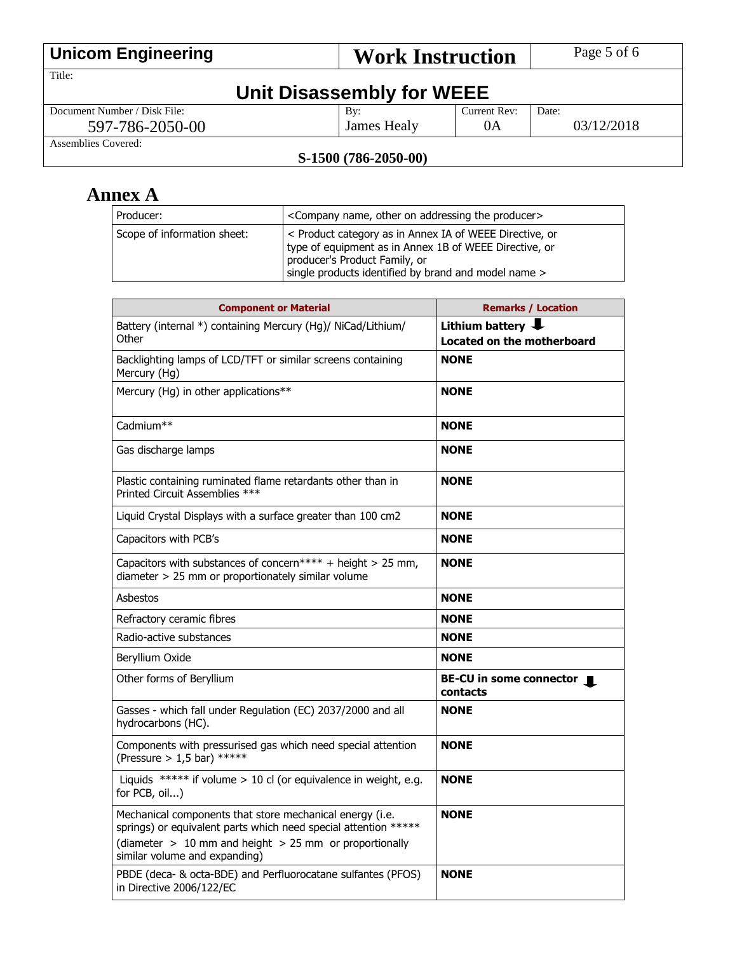| <b>Unicom Engineering</b>    | <b>Work Instruction</b> |              | Page 5 of 6 |
|------------------------------|-------------------------|--------------|-------------|
| Title:                       |                         |              |             |
| Unit Disassembly for WEEE    |                         |              |             |
| Document Number / Disk File: | $\rm\,By:$              | Current Rev: | Date:       |
| 597-786-2050-00              | James Healy             | 0A           | 03/12/2018  |
| Assemblies Covered:          |                         |              |             |

#### **S-1500 (786-2050-00)**

## **Annex A**

| Producer:                   | <company addressing="" name,="" on="" other="" producer="" the=""></company>                                                                                                                               |
|-----------------------------|------------------------------------------------------------------------------------------------------------------------------------------------------------------------------------------------------------|
| Scope of information sheet: | < Product category as in Annex IA of WEEE Directive, or<br>type of equipment as in Annex 1B of WEEE Directive, or<br>producer's Product Family, or<br>single products identified by brand and model name > |

| <b>Component or Material</b>                                                                                                                                                                                               | <b>Remarks / Location</b>                                     |
|----------------------------------------------------------------------------------------------------------------------------------------------------------------------------------------------------------------------------|---------------------------------------------------------------|
| Battery (internal *) containing Mercury (Hg)/ NiCad/Lithium/<br>Other                                                                                                                                                      | Lithium battery <b>J</b><br><b>Located on the motherboard</b> |
| Backlighting lamps of LCD/TFT or similar screens containing<br>Mercury (Hg)                                                                                                                                                | <b>NONE</b>                                                   |
| Mercury (Hg) in other applications**                                                                                                                                                                                       | <b>NONE</b>                                                   |
| Cadmium**                                                                                                                                                                                                                  | <b>NONE</b>                                                   |
| Gas discharge lamps                                                                                                                                                                                                        | <b>NONE</b>                                                   |
| Plastic containing ruminated flame retardants other than in<br>Printed Circuit Assemblies ***                                                                                                                              | <b>NONE</b>                                                   |
| Liquid Crystal Displays with a surface greater than 100 cm2                                                                                                                                                                | <b>NONE</b>                                                   |
| Capacitors with PCB's                                                                                                                                                                                                      | <b>NONE</b>                                                   |
| Capacitors with substances of concern**** + height > 25 mm,<br>diameter > 25 mm or proportionately similar volume                                                                                                          | <b>NONE</b>                                                   |
| Asbestos                                                                                                                                                                                                                   | <b>NONE</b>                                                   |
| Refractory ceramic fibres                                                                                                                                                                                                  | <b>NONE</b>                                                   |
| Radio-active substances                                                                                                                                                                                                    | <b>NONE</b>                                                   |
| Beryllium Oxide                                                                                                                                                                                                            | <b>NONE</b>                                                   |
| Other forms of Beryllium                                                                                                                                                                                                   | BE-CU in some connector <b>I</b><br>contacts                  |
| Gasses - which fall under Regulation (EC) 2037/2000 and all<br>hydrocarbons (HC).                                                                                                                                          | <b>NONE</b>                                                   |
| Components with pressurised gas which need special attention<br>(Pressure > 1,5 bar) *****                                                                                                                                 | <b>NONE</b>                                                   |
| Liquids ***** if volume $> 10$ cl (or equivalence in weight, e.g.<br>for PCB, oil)                                                                                                                                         | <b>NONE</b>                                                   |
| Mechanical components that store mechanical energy (i.e.<br>springs) or equivalent parts which need special attention *****<br>(diameter $> 10$ mm and height $> 25$ mm or proportionally<br>similar volume and expanding) | <b>NONE</b>                                                   |
| PBDE (deca- & octa-BDE) and Perfluorocatane sulfantes (PFOS)<br>in Directive 2006/122/EC                                                                                                                                   | <b>NONE</b>                                                   |